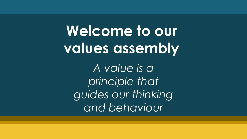**Welcome to our values assembly**

*A value is a principle that guides our thinking and behaviour*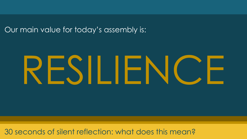Our main value for today's assembly is:

# RESILIENCE

30 seconds of silent reflection: what does this mean?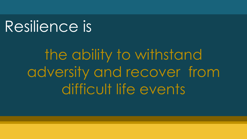# Resilience is

the ability to withstand adversity and recover from difficult life events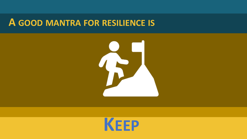### **A GOOD MANTRA FOR RESILIENCE IS**



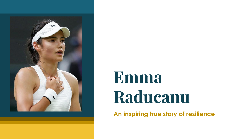

# Emma Raducanu

**An inspiring true story of resilience**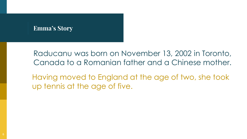Raducanu was born on November 13, 2002 in Toronto, Canada to a Romanian father and a Chinese mother.

Having moved to England at the age of two, she took up tennis at the age of five.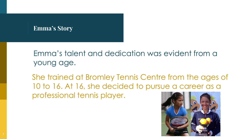Emma's talent and dedication was evident from a young age.

She trained at Bromley Tennis Centre from the ages of 10 to 16. At 16, she decided to pursue a career as a professional tennis player.

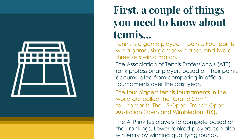

## First, a couple of things you need to know about tennis...

Tennis is a game played in points: Four points win a game, six games win a set, and two or three sets win a match.

The Association of Tennis Professionals (ATP) rank professional players based on their points accumulated from competing in official tournaments over the past year.

The four biggest tennis tournaments in the world are called the 'Grand Slam' tournaments: The US Open, French Open, Australian Open and Wimbledon (UK).

The ATP invites players to compete based on their rankings. Lower-ranked players can also win entry by winning qualifying rounds.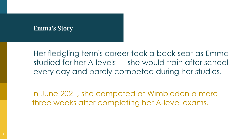Her fledgling tennis career took a back seat as Emma studied for her A-levels — she would train after school every day and barely competed during her studies.

In June 2021, she competed at Wimbledon a mere three weeks after completing her A-level exams.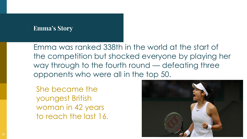Emma was ranked 338th in the world at the start of the competition but shocked everyone by playing her way through to the fourth round — defeating three opponents who were all in the top 50.

She became the youngest British woman in 42 years to reach the last 16.

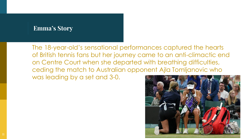The 18-year-old's sensational performances captured the hearts of British tennis fans but her journey came to an anti-climactic end on Centre Court when she departed with breathing difficulties, ceding the match to Australian opponent Ajla Tomljanovic who was leading by a set and 3-0.

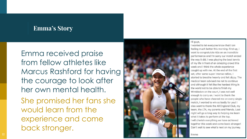Emma received praise from fellow athletes like Marcus Rashford for having the courage to look after her own mental health. She promised her fans she would learn from the experience and come back stronger.



#### Hi guys,

I wanted to let everyone know that I am feeling much better this morning. First up. I want to congratulate Aila on an incredible performance and I'm sorry our match ended the way it did. I was playing the best tennis of my life in front of an amazing crowd this week and I think the whole experience caught up with me. At the end of the first set, after some super intense rallies, I started to breathe heavily and felt dizzy. The medical team advised me not to continue and although it felt like the hardest thing in the world not to be able to finish my Wimbledon on the court, I was not well enough to carry on. I want to thank the people who have cheered me on every single match, I wanted to win so badly for you! I also want to thank the All England Club, my team, the LTA, my parents and friends. Last night will go a long way to helping me learn what it takes to perform at the top. I will cherish everything we have achieved together this week and come back stronger! Can't wait to see what's next on my journey.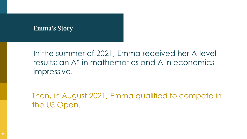In the summer of 2021, Emma received her A-level results: an A\* in mathematics and A in economics impressive!

Then, in August 2021, Emma qualified to compete in the US Open.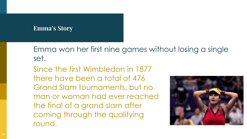Emma won her first nine games without losing a single set.

Since the first Wimbledon in 1877 there have been a total of 476 Grand Slam tournaments, but no man or woman had ever reached the final of a grand slam after coming through the qualifying round.

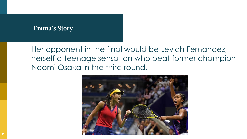Her opponent in the final would be Leylah Fernandez, herself a teenage sensation who beat former champion Naomi Osaka in the third round.

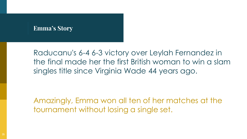Raducanu's 6-4 6-3 victory over Leylah Fernandez in the final made her the first British woman to win a slam singles title since Virginia Wade 44 years ago.

Amazingly, Emma won all ten of her matches at the tournament without losing a single set.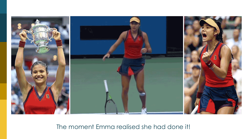

The moment Emma realised she had done it!